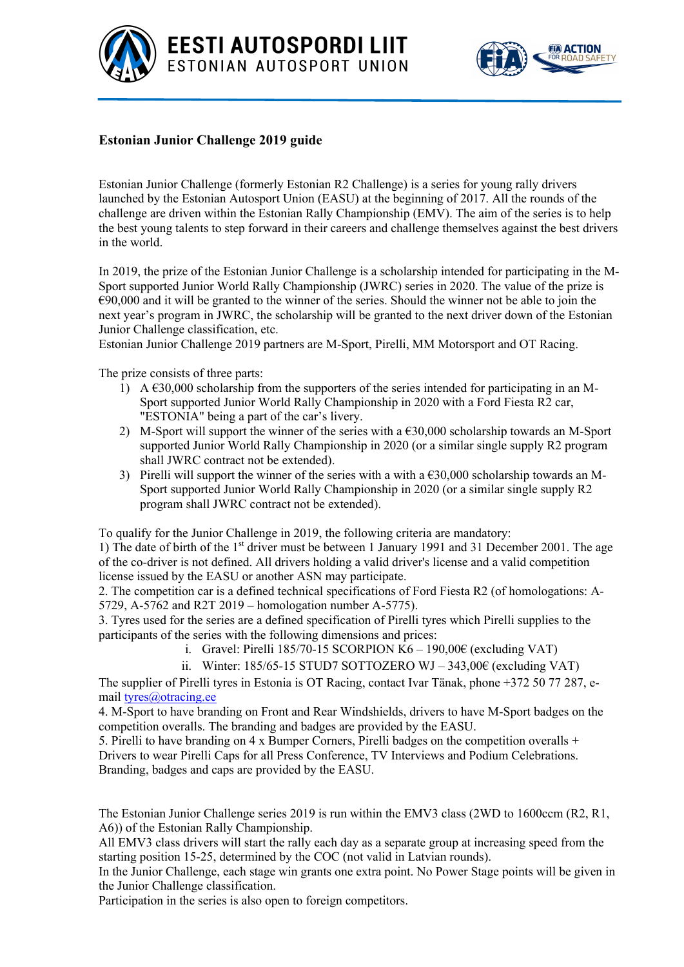



## **Estonian Junior Challenge 2019 guide**

Estonian Junior Challenge (formerly Estonian R2 Challenge) is a series for young rally drivers launched by the Estonian Autosport Union (EASU) at the beginning of 2017. All the rounds of the challenge are driven within the Estonian Rally Championship (EMV). The aim of the series is to help the best young talents to step forward in their careers and challenge themselves against the best drivers in the world.

In 2019, the prize of the Estonian Junior Challenge is a scholarship intended for participating in the M-Sport supported Junior World Rally Championship (JWRC) series in 2020. The value of the prize is  $€90,000$  and it will be granted to the winner of the series. Should the winner not be able to join the next year's program in JWRC, the scholarship will be granted to the next driver down of the Estonian Junior Challenge classification, etc.

Estonian Junior Challenge 2019 partners are M-Sport, Pirelli, MM Motorsport and OT Racing.

The prize consists of three parts:

- 1) A  $\epsilon$ 30,000 scholarship from the supporters of the series intended for participating in an M-Sport supported Junior World Rally Championship in 2020 with a Ford Fiesta R2 car, "ESTONIA" being a part of the car's livery.
- 2) M-Sport will support the winner of the series with a  $\epsilon$ 30,000 scholarship towards an M-Sport supported Junior World Rally Championship in 2020 (or a similar single supply R2 program shall JWRC contract not be extended).
- 3) Pirelli will support the winner of the series with a with a  $\epsilon$ 30,000 scholarship towards an M-Sport supported Junior World Rally Championship in 2020 (or a similar single supply R2 program shall JWRC contract not be extended).

To qualify for the Junior Challenge in 2019, the following criteria are mandatory:

1) The date of birth of the 1st driver must be between 1 January 1991 and 31 December 2001. The age of the co-driver is not defined. All drivers holding a valid driver's license and a valid competition license issued by the EASU or another ASN may participate.

2. The competition car is a defined technical specifications of Ford Fiesta R2 (of homologations: A-5729, A-5762 and R2T 2019 – homologation number A-5775).

3. Tyres used for the series are a defined specification of Pirelli tyres which Pirelli supplies to the participants of the series with the following dimensions and prices:

- i. Gravel: Pirelli 185/70-15 SCORPION  $K6 190,00 \in (excluding \, VAT)$
- ii. Winter: 185/65-15 STUD7 SOTTOZERO WJ 343,00 $\epsilon$  (excluding VAT)

The supplier of Pirelli tyres in Estonia is OT Racing, contact Ivar Tänak, phone +372 50 77 287, email tyres@otracing.ee

4. M-Sport to have branding on Front and Rear Windshields, drivers to have M-Sport badges on the competition overalls. The branding and badges are provided by the EASU.

5. Pirelli to have branding on 4 x Bumper Corners, Pirelli badges on the competition overalls + Drivers to wear Pirelli Caps for all Press Conference, TV Interviews and Podium Celebrations. Branding, badges and caps are provided by the EASU.

The Estonian Junior Challenge series 2019 is run within the EMV3 class (2WD to 1600ccm (R2, R1, A6)) of the Estonian Rally Championship.

All EMV3 class drivers will start the rally each day as a separate group at increasing speed from the starting position 15-25, determined by the COC (not valid in Latvian rounds).

In the Junior Challenge, each stage win grants one extra point. No Power Stage points will be given in the Junior Challenge classification.

Participation in the series is also open to foreign competitors.